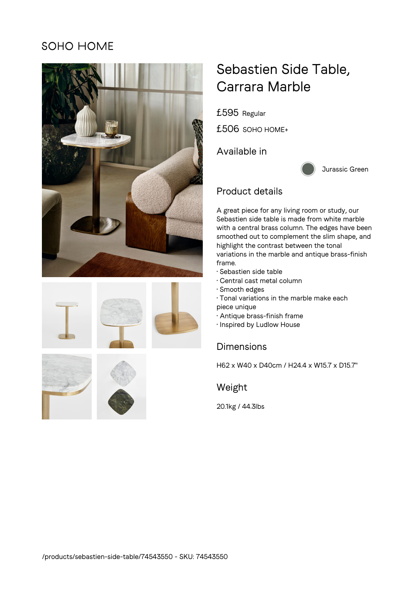## **SOHO HOME**











# Sebastien Side Table, Carrara Marble

£595 Regular

£506 SOHO HOME+

Available in



#### Product details

A great piece for any living room or study, our Sebastien side table is made from white marble with a central brass column. The edges have been smoothed out to complement the slim shape, and highlight the contrast between the tonal variations in the marble and antique brass-finish frame.

- Sebastien side table
- Central cast metal column
- Smooth edges
- Tonal variations in the marble make each
- piece unique
- Antique brass-finish frame
- Inspired by Ludlow House

### **Dimensions**

H62 x W40 x D40cm / H24.4 x W15.7 x D15.7"

Weight

20.1kg / 44.3lbs